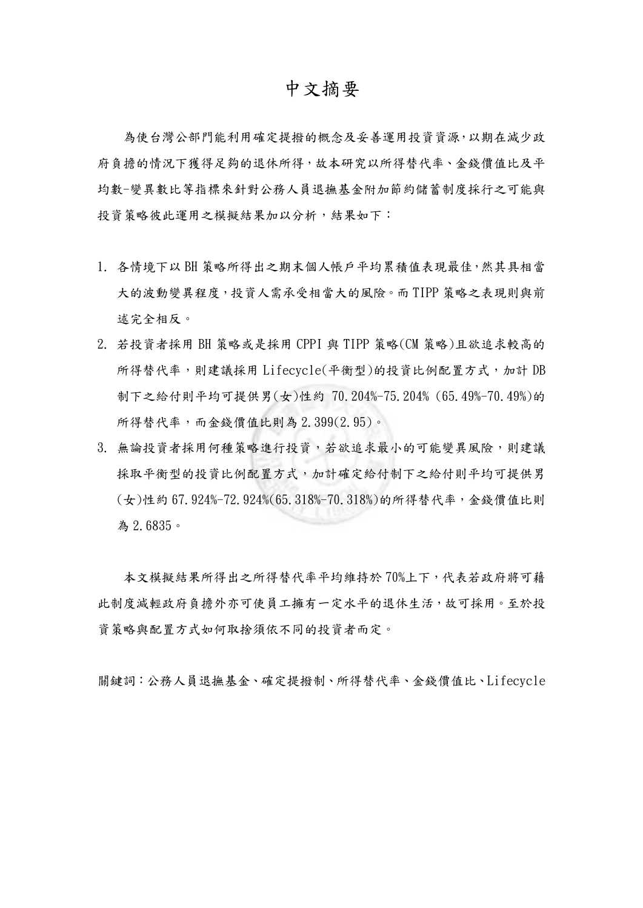## 中文摘要

為使台灣公部門能利用確定提撥的概念及妥善運用投資資源,以期在減少政 府負擔的情況下獲得足夠的退休所得,故本研究以所得替代率、金錢價值比及平 均數-變異數比等指標來針對公務人員退撫基金附加節約儲蓄制度採行之可能與 投資策略彼此運用之模擬結果加以分析,結果如下:

- 1. 各情境下以 BH 策略所得出之期末個人帳戶平均累積值表現最佳,然其具相當 大的波動變異程度,投資人需承受相當大的風險。而 TIPP 策略之表現則與前 述完全相反。
- 2. 若投資者採用 BH 策略或是採用 CPPI 與 TIPP 策略(CM 策略)且欲追求較高的 所得替代率,則建議採用 Lifecycle(平衡型)的投資比例配置方式,加計 DB 制下之給付則平均可提供男(女)性約 70.204%-75.204% (65.49%-70.49%)的 所得替代率,而金錢價值比則為 2.399(2.95)。
- 3. 無論投資者採用何種策略進行投資,若欲追求最小的可能變異風險,則建議 採取平衡型的投資比例配置方式,加計確定給付制下之給付則平均可提供男 (女)性約 67.924%-72.924%(65.318%-70.318%)的所得替代率,金錢價值比則 為 2.6835。

本文模擬結果所得出之所得替代率平均維持於 70%上下,代表若政府將可藉 此制度減輕政府負擔外亦可使員工擁有一定水平的退休生活,故可採用。至於投 資策略與配置方式如何取捨須依不同的投資者而定。

關鍵詞:公務人員退撫基金、確定提撥制、所得替代率、金錢價值比、Lifecycle